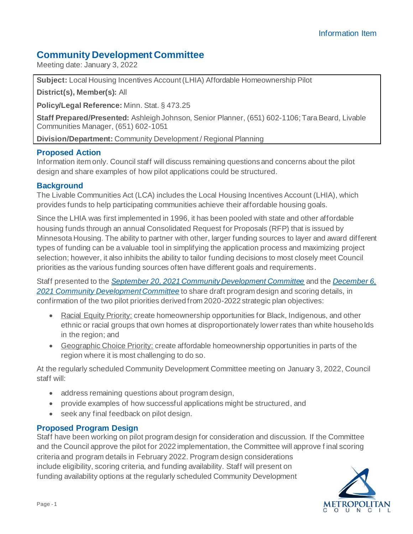# **Community Development Committee**

Meeting date: January 3, 2022

**Subject:** Local Housing Incentives Account (LHIA) Affordable Homeownership Pilot

**District(s), Member(s):** All

**Policy/Legal Reference:** Minn. Stat. § 473.25

**Staff Prepared/Presented:** Ashleigh Johnson, Senior Planner, (651) 602-1106; Tara Beard, Livable Communities Manager, (651) 602-1051

**Division/Department:** Community Development / Regional Planning

# **Proposed Action**

Information item only. Council staff will discuss remaining questions and concerns about the pilot design and share examples of how pilot applications could be structured.

### **Background**

The Livable Communities Act (LCA) includes the Local Housing Incentives Account (LHIA), which provides funds to help participating communities achieve their affordable housing goals.

Since the LHIA was first implemented in 1996, it has been pooled with state and other affordable housing funds through an annual Consolidated Request for Proposals (RFP) that is issued by Minnesota Housing. The ability to partner with other, larger funding sources to layer and award different types of funding can be a valuable tool in simplifying the application process and maximizing project selection; however, it also inhibits the ability to tailor funding decisions to most closely meet Council priorities as the various funding sources often have different goals and requirements.

Staff presented to the *[September 20, 2021 Community Development Committee](https://metrocouncil.org/Council-Meetings/Committees/Community-Development-Committee/2021/April-19,-2021/LHIAhomeownershippilot-info.aspx)* and the *[December 6,](https://metrocouncil.org/Council-Meetings/Committees/Community-Development-Committee/2021/December-6,-2021/Local-Housing-Incentives-Account-(LHIA)-Affordable.aspx)  [2021 Community Development Committee](https://metrocouncil.org/Council-Meetings/Committees/Community-Development-Committee/2021/December-6,-2021/Local-Housing-Incentives-Account-(LHIA)-Affordable.aspx)* to share draft program design and scoring details, in confirmation of the two pilot priorities derived from 2020-2022 strategic plan objectives:

- Racial Equity Priority: create homeownership opportunities for Black, Indigenous, and other ethnic or racial groups that own homes at disproportionately lower rates than white households in the region; and
- Geographic Choice Priority: create affordable homeownership opportunities in parts of the region where it is most challenging to do so.

At the regularly scheduled Community Development Committee meeting on January 3, 2022, Council staff will:

- address remaining questions about program design,
- provide examples of how successful applications might be structured, and
- seek any final feedback on pilot design.

### **Proposed Program Design**

Staff have been working on pilot program design for consideration and discussion. If the Committee and the Council approve the pilot for 2022 implementation, the Committee will approve f inal scoring criteria and program details in February 2022. Program design considerations include eligibility, scoring criteria, and funding availability. Staff will present on funding availability options at the regularly scheduled Community Development

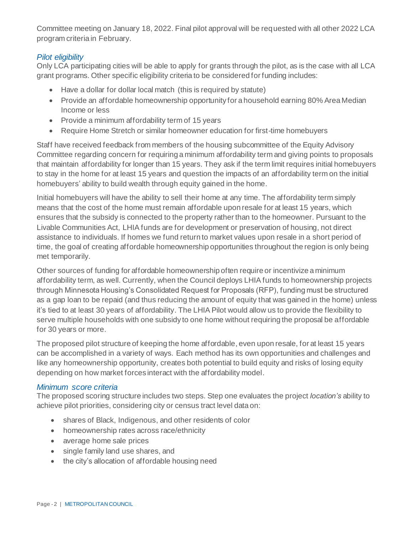Committee meeting on January 18, 2022. Final pilot approval will be requested with all other 2022 LCA program criteria in February.

# *Pilot eligibility*

Only LCA participating cities will be able to apply for grants through the pilot, as is the case with all LCA grant programs. Other specific eligibility criteria to be considered for funding includes:

- Have a dollar for dollar local match (this is required by statute)
- Provide an affordable homeownership opportunity for a household earning 80% Area Median Income or less
- Provide a minimum affordability term of 15 years
- Require Home Stretch or similar homeowner education for first-time homebuyers

Staff have received feedback from members of the housing subcommittee of the Equity Advisory Committee regarding concern for requiring a minimum affordability term and giving points to proposals that maintain affordability for longer than 15 years. They ask if the term limit requires initial homebuyers to stay in the home for at least 15 years and question the impacts of an affordability term on the initial homebuyers' ability to build wealth through equity gained in the home.

Initial homebuyers will have the ability to sell their home at any time. The affordability term simply means that the cost of the home must remain affordable upon resale for at least 15 years, which ensures that the subsidy is connected to the property rather than to the homeowner. Pursuant to the Livable Communities Act, LHIA funds are for development or preservation of housing, not direct assistance to individuals. If homes we fund return to market values upon resale in a short period of time, the goal of creating affordable homeownership opportunities throughout the region is only being met temporarily.

Other sources of funding for affordable homeownership often require or incentivize a minimum affordability term, as well. Currently, when the Council deploys LHIA funds to homeownership projects through Minnesota Housing's Consolidated Request for Proposals (RFP), funding must be structured as a gap loan to be repaid (and thus reducing the amount of equity that was gained in the home) unless it's tied to at least 30 years of affordability. The LHIA Pilot would allow us to provide the flexibility to serve multiple households with one subsidy to one home without requiring the proposal be affordable for 30 years or more.

The proposed pilot structure of keeping the home affordable, even upon resale, for at least 15 years can be accomplished in a variety of ways. Each method has its own opportunities and challenges and like any homeownership opportunity, creates both potential to build equity and risks of losing equity depending on how market forces interact with the affordability model.

### *Minimum score criteria*

The proposed scoring structure includes two steps. Step one evaluates the project *location's* ability to achieve pilot priorities, considering city or census tract level data on:

- shares of Black, Indigenous, and other residents of color
- homeownership rates across race/ethnicity
- average home sale prices
- single family land use shares, and
- the city's allocation of affordable housing need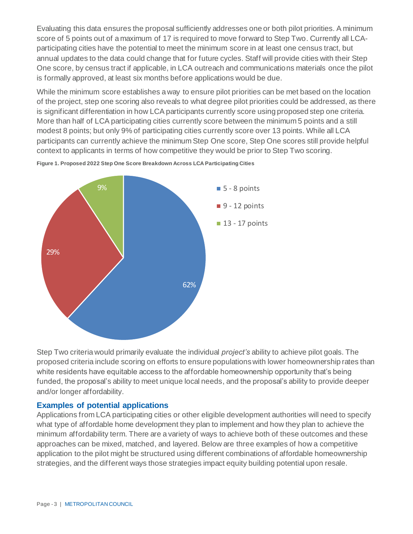Evaluating this data ensures the proposal sufficiently addresses one or both pilot priorities. A minimum score of 5 points out of a maximum of 17 is required to move forward to Step Two. Currently all LCAparticipating cities have the potential to meet the minimum score in at least one census tract, but annual updates to the data could change that for future cycles. Staff will provide cities with their Step One score, by census tract if applicable, in LCA outreach and communications materials once the pilot is formally approved, at least six months before applications would be due.

While the minimum score establishes a way to ensure pilot priorities can be met based on the location of the project, step one scoring also reveals to what degree pilot priorities could be addressed, as there is significant differentiation in how LCA participants currently score using proposed step one criteria. More than half of LCA participating cities currently score between the minimum 5 points and a still modest 8 points; but only 9% of participating cities currently score over 13 points. While all LCA participants can currently achieve the minimum Step One score, Step One scores still provide helpful context to applicants in terms of how competitive they would be prior to Step Two scoring.



**Figure 1. Proposed 2022 Step One Score Breakdown Across LCA Participating Cities**

Step Two criteria would primarily evaluate the individual *project's* ability to achieve pilot goals. The proposed criteria include scoring on efforts to ensure populations with lower homeownership rates than white residents have equitable access to the affordable homeownership opportunity that's being funded, the proposal's ability to meet unique local needs, and the proposal's ability to provide deeper and/or longer affordability.

### **Examples of potential applications**

Applications from LCA participating cities or other eligible development authorities will need to specify what type of affordable home development they plan to implement and how they plan to achieve the minimum affordability term. There are a variety of ways to achieve both of these outcomes and these approaches can be mixed, matched, and layered. Below are three examples of how a competitive application to the pilot might be structured using different combinations of affordable homeownership strategies, and the different ways those strategies impact equity building potential upon resale.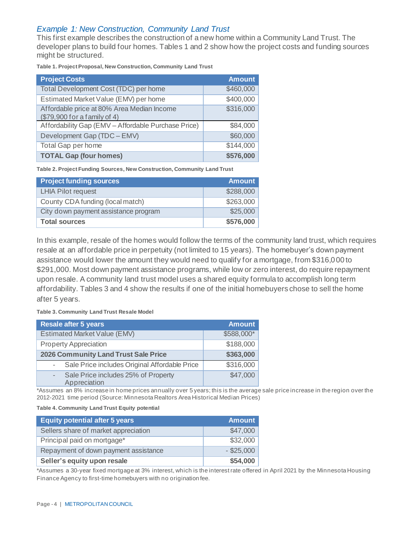# *Example 1: New Construction, Community Land Trust*

This first example describes the construction of a new home within a Community Land Trust. The developer plans to build four homes. Tables 1 and 2 show how the project costs and funding sources might be structured.

**Table 1. Project Proposal, New Construction, Community Land Trust**

| <b>Project Costs</b>                                                       | <b>Amount</b> |
|----------------------------------------------------------------------------|---------------|
| Total Development Cost (TDC) per home                                      | \$460,000     |
| Estimated Market Value (EMV) per home                                      | \$400,000     |
| Affordable price at 80% Area Median Income<br>(\$79,900 for a family of 4) | \$316,000     |
| Affordability Gap (EMV - Affordable Purchase Price)                        | \$84,000      |
| Development Gap (TDC - EMV)                                                | \$60,000      |
| Total Gap per home                                                         | \$144,000     |
| <b>TOTAL Gap (four homes)</b>                                              | \$576,000     |

**Table 2. Project Funding Sources, New Construction, Community Land Trust**

| <b>Project funding sources</b>       | <b>Amount</b> |
|--------------------------------------|---------------|
| <b>LHIA Pilot request</b>            | \$288,000     |
| County CDA funding (local match)     | \$263,000     |
| City down payment assistance program | \$25,000      |
| <b>Total sources</b>                 | \$576,000     |

In this example, resale of the homes would follow the terms of the community land trust, which requires resale at an affordable price in perpetuity (not limited to 15 years). The homebuyer's down payment assistance would lower the amount they would need to qualify for a mortgage, from \$316,000 to \$291,000. Most down payment assistance programs, while low or zero interest, do require repayment upon resale. A community land trust model uses a shared equity formula to accomplish long term affordability. Tables 3 and 4 show the results if one of the initial homebuyers chose to sell the home after 5 years.

**Table 3. Community Land Trust Resale Model**

| <b>Resale after 5 years</b>                         | <b>Amount</b> |
|-----------------------------------------------------|---------------|
| Estimated Market Value (EMV)                        | \$588,000*    |
| <b>Property Appreciation</b>                        | \$188,000     |
| 2026 Community Land Trust Sale Price                | \$363,000     |
| Sale Price includes Original Affordable Price       | \$316,000     |
| Sale Price includes 25% of Property<br>Appreciation | \$47,000      |

\*Assumes an 8% increase in home prices annually over 5 years; this is the average sale price increase in the region over the 2012-2021 time period (Source: Minnesota Realtors Area Historical Median Prices)

#### **Table 4. Community Land Trust Equity potential**

| <b>Equity potential after 5 years</b> | <b>Amount</b> |
|---------------------------------------|---------------|
| Sellers share of market appreciation  | \$47,000      |
| Principal paid on mortgage*           | \$32,000      |
| Repayment of down payment assistance  | $-$ \$25,000  |
| Seller's equity upon resale           | \$54,000      |

\*Assumes a 30-year fixed mortgage at 3% interest, which is the interest rate offered in April 2021 by the Minnesota Housing Finance Agency to first-time homebuyers with no origination fee.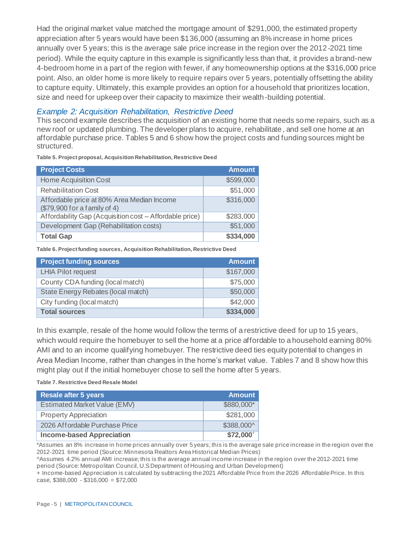Had the original market value matched the mortgage amount of \$291,000, the estimated property appreciation after 5 years would have been \$136,000 (assuming an 8% increase in home prices annually over 5 years; this is the average sale price increase in the region over the 2012-2021 time period). While the equity capture in this example is significantly less than that, it provides a brand-new 4-bedroom home in a part of the region with fewer, if any homeownership options at the \$316,000 price point. Also, an older home is more likely to require repairs over 5 years, potentially offsetting the ability to capture equity. Ultimately, this example provides an option for a household that prioritizes location, size and need for upkeep over their capacity to maximize their wealth-building potential.

#### *Example 2: Acquisition Rehabilitation, Restrictive Deed*

This second example describes the acquisition of an existing home that needs some repairs, such as a new roof or updated plumbing. The developer plans to acquire, rehabilitate, and sell one home at an affordable purchase price. Tables 5 and 6 show how the project costs and funding sources might be structured.

**Table 5. Project proposal, Acquisition Rehabilitation, Restrictive Deed**

| <b>Project Costs</b>                                                       | <b>Amount</b> |
|----------------------------------------------------------------------------|---------------|
| <b>Home Acquisition Cost</b>                                               | \$599,000     |
| <b>Rehabilitation Cost</b>                                                 | \$51,000      |
| Affordable price at 80% Area Median Income<br>(\$79,900 for a family of 4) | \$316,000     |
| Affordability Gap (Acquisition cost - Affordable price)                    | \$283,000     |
| Development Gap (Rehabilitation costs)                                     | \$51,000      |
| <b>Total Gap</b>                                                           | \$334,000     |

**Table 6. Project funding sources, Acquisition Rehabilitation, Restrictive Deed**

| <b>Project funding sources</b>     | <b>Amount</b> |
|------------------------------------|---------------|
| <b>LHIA Pilot request</b>          | \$167,000     |
| County CDA funding (local match)   | \$75,000      |
| State Energy Rebates (local match) | \$50,000      |
| City funding (local match)         | \$42,000      |
| <b>Total sources</b>               | \$334,000     |

In this example, resale of the home would follow the terms of a restrictive deed for up to 15 years, which would require the homebuyer to sell the home at a price affordable to a household earning 80% AMI and to an income qualifying homebuyer. The restrictive deed ties equity potential to changes in Area Median Income, rather than changes in the home's market value. Tables 7 and 8 show how this might play out if the initial homebuyer chose to sell the home after 5 years.

#### **Table 7. Restrictive Deed Resale Model**

| <b>Resale after 5 years</b>      | Amount <sup>'</sup> |
|----------------------------------|---------------------|
| Estimated Market Value (EMV)     | \$880,000*          |
| <b>Property Appreciation</b>     | \$281,000           |
| 2026 Affordable Purchase Price   | \$388,000^          |
| <b>Income-based Appreciation</b> | $$72,000^+$         |

\*Assumes an 8% increase in home prices annually over 5 years; this is the average sale price increase in the region over the 2012-2021 time period (Source: Minnesota Realtors Area Historical Median Prices)

^Assumes 4.2% annual AMI increase; this is the average annual income increase in the region over the 2012-2021 time period (Source: Metropolitan Council, U.S Department of Housing and Urban Development)

+ Income-based Appreciation is calculated by subtracting the 2021 Affordable Price from the 2026 Affordable Price. In this case, \$388,000 - \$316,000 = \$72,000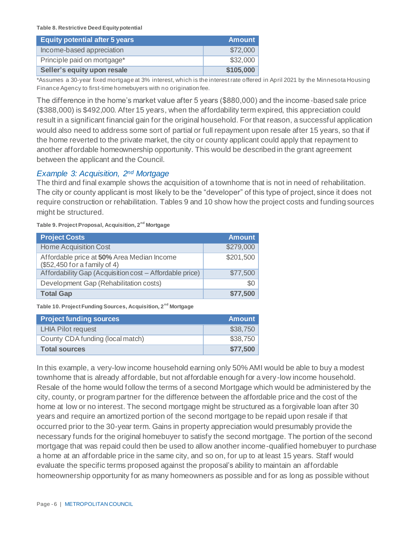**Table 8. Restrictive Deed Equity potential**

| <b>Equity potential after 5 years</b> | ⊦Amount   |
|---------------------------------------|-----------|
| Income-based appreciation             | \$72,000  |
| Principle paid on mortgage*           | \$32,000  |
| Seller's equity upon resale           | \$105,000 |

\*Assumes a 30-year fixed mortgage at 3% interest, which is the interest rate offered in April 2021 by the Minnesota Housing Finance Agency to first-time homebuyers with no origination fee.

The difference in the home's market value after 5 years (\$880,000) and the income-based sale price (\$388,000) is \$492,000. After 15 years, when the affordability term expired, this appreciation could result in a significant financial gain for the original household. For that reason, a successful application would also need to address some sort of partial or full repayment upon resale after 15 years, so that if the home reverted to the private market, the city or county applicant could apply that repayment to another affordable homeownership opportunity. This would be described in the grant agreement between the applicant and the Council.

#### *Example 3: Acquisition, 2nd Mortgage*

The third and final example shows the acquisition of a townhome that is not in need of rehabilitation. The city or county applicant is most likely to be the "developer" of this type of project, since it does not require construction or rehabilitation. Tables 9 and 10 show how the project costs and funding sources might be structured.

#### **Table 9. Project Proposal, Acquisition, 2nd Mortgage**

| <b>Project Costs</b>                                                       | <b>Amount</b> |
|----------------------------------------------------------------------------|---------------|
| <b>Home Acquisition Cost</b>                                               | \$279,000     |
| Affordable price at 50% Area Median Income<br>(\$52,450 for a family of 4) | \$201,500     |
| Affordability Gap (Acquisition cost - Affordable price)                    | \$77,500      |
| Development Gap (Rehabilitation costs)                                     | \$0           |
| <b>Total Gap</b>                                                           | \$77,500      |

**Table 10. Project Funding Sources, Acquisition, 2nd Mortgage**

| <b>Project funding sources</b>   | <b>Amount</b> |
|----------------------------------|---------------|
| <b>LHIA Pilot request</b>        | \$38,750      |
| County CDA funding (local match) | \$38,750      |
| <b>Total sources</b>             | \$77,500      |

In this example, a very-low income household earning only 50% AMI would be able to buy a modest townhome that is already affordable, but not affordable enough for a very-low income household. Resale of the home would follow the terms of a second Mortgage which would be administered by the city, county, or program partner for the difference between the affordable price and the cost of the home at low or no interest. The second mortgage might be structured as a forgivable loan after 30 years and require an amortized portion of the second mortgage to be repaid upon resale if that occurred prior to the 30-year term. Gains in property appreciation would presumably provide the necessary funds for the original homebuyer to satisfy the second mortgage. The portion of the second mortgage that was repaid could then be used to allow another income-qualified homebuyer to purchase a home at an affordable price in the same city, and so on, for up to at least 15 years. Staff would evaluate the specific terms proposed against the proposal's ability to maintain an affordable homeownership opportunity for as many homeowners as possible and for as long as possible without